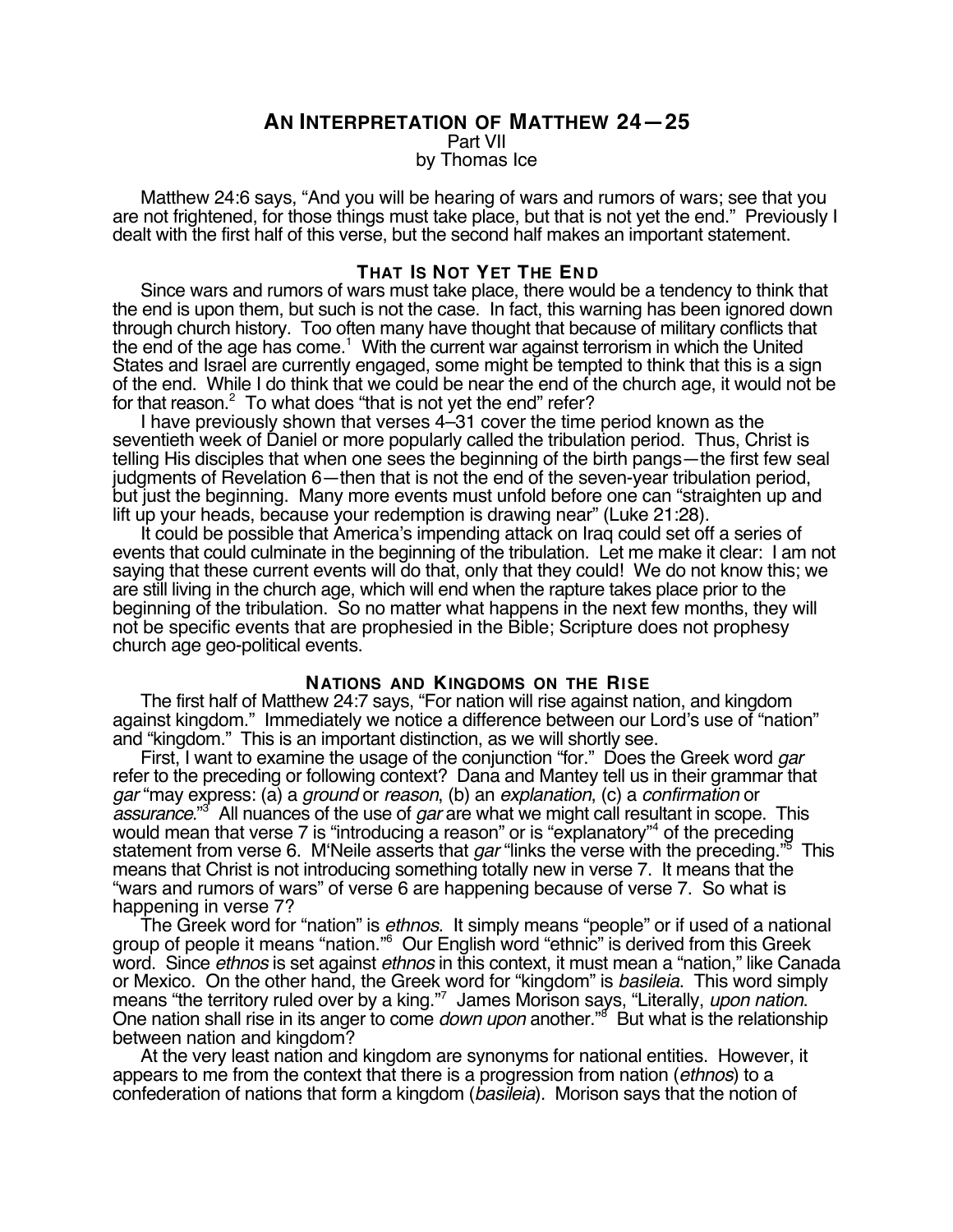## **AN INTERPRETATION OF MATTHEW 24—25**

Part VII

by Thomas Ice

Matthew 24:6 says, "And you will be hearing of wars and rumors of wars; see that you are not frightened, for those things must take place, but that is not yet the end." Previously I dealt with the first half of this verse, but the second half makes an important statement.

#### **THAT IS NOT YET THE END**

Since wars and rumors of wars must take place, there would be a tendency to think that the end is upon them, but such is not the case. In fact, this warning has been ignored down through church history. Too often many have thought that because of military conflicts that the end of the age has come.<sup>1</sup> With the current war against terrorism in which the United States and Israel are currently engaged, some might be tempted to think that this is a sign of the end. While I do think that we could be near the end of the church age, it would not be for that reason. $^2$  To what does "that is not yet the end" refer?

I have previously shown that verses 4–31 cover the time period known as the seventieth week of Daniel or more popularly called the tribulation period. Thus, Christ is telling His disciples that when one sees the beginning of the birth pangs—the first few seal judgments of Revelation 6—then that is not the end of the seven-year tribulation period, but just the beginning. Many more events must unfold before one can "straighten up and lift up your heads, because your redemption is drawing near" (Luke 21:28).

It could be possible that America's impending attack on Iraq could set off a series of events that could culminate in the beginning of the tribulation. Let me make it clear: I am not saying that these current events will do that, only that they could! We do not know this; we are still living in the church age, which will end when the rapture takes place prior to the beginning of the tribulation. So no matter what happens in the next few months, they will not be specific events that are prophesied in the Bible; Scripture does not prophesy church age geo-political events.

#### **NATIONS AND KINGDOMS ON THE RISE**

The first half of Matthew 24:7 says, "For nation will rise against nation, and kingdom against kingdom." Immediately we notice a difference between our Lord's use of "nation" and "kingdom." This is an important distinction, as we will shortly see.

First, I want to examine the usage of the conjunction "for." Does the Greek word *gar* refer to the preceding or following context? Dana and Mantey tell us in their grammar that gar "may express: (a) a ground or reason, (b) an explanation, (c) a confirmation or assurance."<sup>3</sup> All nuances of the use of gar are what we might call resultant in scope. This would mean that verse 7 is "introducing a reason" or is "explanatory"4 of the preceding statement from verse 6. M'Neile asserts that *gar* "links the verse with the preceding."<sup>5</sup> This means that Christ is not introducing something totally new in verse 7. It means that the "wars and rumors of wars" of verse 6 are happening because of verse 7. So what is happening in verse 7?

The Greek word for "nation" is ethnos. It simply means "people" or if used of a national group of people it means "nation."6 Our English word "ethnic" is derived from this Greek word. Since *ethnos* is set against *ethnos* in this context, it must mean a "nation," like Canada or Mexico. On the other hand, the Greek word for "kingdom" is basileia. This word simply means "the territory ruled over by a king."7 James Morison says, "Literally, upon nation. means "the territory ruled over by a king."<sup>7</sup> James Morison says, "Literally, *upon nation.*<br>One nation shall rise in its anger to come *down upon* another."<sup>8</sup> But what is the relationship between nation and kingdom?

At the very least nation and kingdom are synonyms for national entities. However, it appears to me from the context that there is a progression from nation *(ethnos)* to a confederation of nations that form a kingdom (basileia). Morison says that the notion of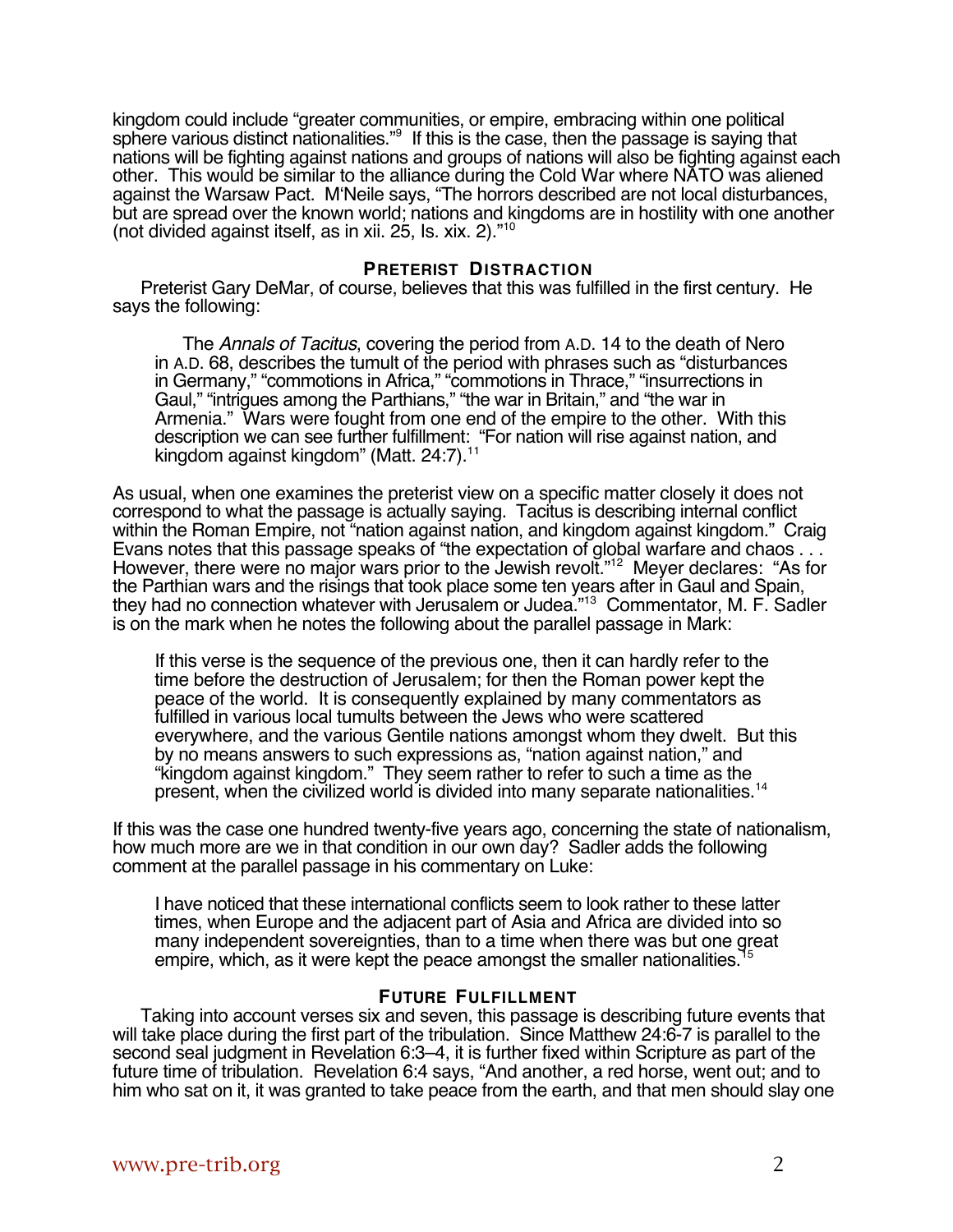kingdom could include "greater communities, or empire, embracing within one political sphere various distinct nationalities."<sup>9</sup> If this is the case, then the passage is saying that nations will be fighting against nations and groups of nations will also be fighting against each other. This would be similar to the alliance during the Cold War where NATO was aliened against the Warsaw Pact. M'Neile says, "The horrors described are not local disturbances, but are spread over the known world; nations and kingdoms are in hostility with one another (not divided against itself, as in xii. 25, Is. xix. 2)."10

## **PRETERIST DISTRACTION**

Preterist Gary DeMar, of course, believes that this was fulfilled in the first century. He says the following:

The Annals of Tacitus, covering the period from A.D. 14 to the death of Nero in A.D. 68, describes the tumult of the period with phrases such as "disturbances in Germany," "commotions in Africa," "commotions in Thrace," "insurrections in Gaul," "intrigues among the Parthians," "the war in Britain," and "the war in Armenia." Wars were fought from one end of the empire to the other. With this description we can see further fulfillment: "For nation will rise against nation, and kingdom against kingdom" (Matt. 24:7).<sup>11</sup>

As usual, when one examines the preterist view on a specific matter closely it does not correspond to what the passage is actually saying. Tacitus is describing internal conflict within the Roman Empire, not "nation against nation, and kingdom against kingdom." Craig Evans notes that this passage speaks of "the expectation of global warfare and chaos . . . However, there were no major wars prior to the Jewish revolt."<sup>12</sup> Meyer declares: "As for the Parthian wars and the risings that took place some ten years after in Gaul and Spain, they had no connection whatever with Jerusalem or Judea."<sup>13</sup> Commentator, M. F. Sadler is on the mark when he notes the following about the parallel passage in Mark:

If this verse is the sequence of the previous one, then it can hardly refer to the time before the destruction of Jerusalem; for then the Roman power kept the peace of the world. It is consequently explained by many commentators as fulfilled in various local tumults between the Jews who were scattered everywhere, and the various Gentile nations amongst whom they dwelt. But this by no means answers to such expressions as, "nation against nation," and "kingdom against kingdom." They seem rather to refer to such a time as the present, when the civilized world is divided into many separate nationalities.<sup>14</sup>

If this was the case one hundred twenty-five years ago, concerning the state of nationalism, how much more are we in that condition in our own day? Sadler adds the following comment at the parallel passage in his commentary on Luke:

I have noticed that these international conflicts seem to look rather to these latter times, when Europe and the adjacent part of Asia and Africa are divided into so many independent sovereignties, than to a time when there was but one great empire, which, as it were kept the peace amongst the smaller nationalities.<sup>1</sup>

### **FUTURE FULFILLMENT**

Taking into account verses six and seven, this passage is describing future events that will take place during the first part of the tribulation. Since Matthew 24:6-7 is parallel to the second seal judgment in Revelation 6:3–4, it is further fixed within Scripture as part of the future time of tribulation. Revelation 6:4 says, "And another, a red horse, went out; and to him who sat on it, it was granted to take peace from the earth, and that men should slay one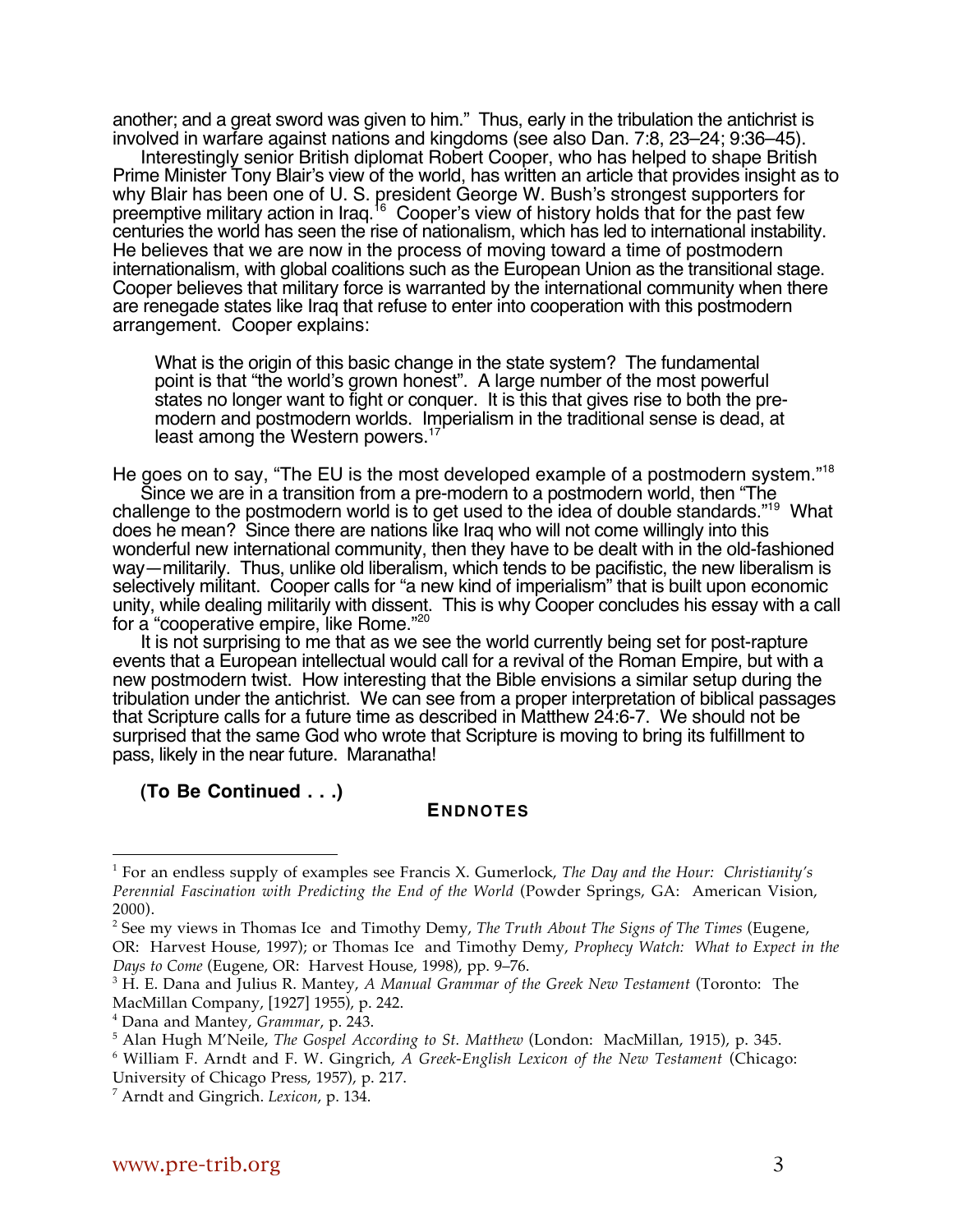another; and a great sword was given to him." Thus, early in the tribulation the antichrist is involved in warfare against nations and kingdoms (see also Dan. 7:8, 23–24; 9:36–45).

Interestingly senior British diplomat Robert Cooper, who has helped to shape British Prime Minister Tony Blair's view of the world, has written an article that provides insight as to why Blair has been one of U. S. president George W. Bush's strongest supporters for preemptive military action in Iraq.<sup>16</sup> Cooper's view of history holds that for the past few centuries the world has seen the rise of nationalism, which has led to international instability. He believes that we are now in the process of moving toward a time of postmodern internationalism, with global coalitions such as the European Union as the transitional stage. Cooper believes that military force is warranted by the international community when there are renegade states like Iraq that refuse to enter into cooperation with this postmodern arrangement. Cooper explains:

What is the origin of this basic change in the state system? The fundamental point is that "the world's grown honest". A large number of the most powerful states no longer want to fight or conquer. It is this that gives rise to both the premodern and postmodern worlds. Imperialism in the traditional sense is dead, at least among the Western powers.<sup>1</sup>

He goes on to say, "The EU is the most developed example of a postmodern system."18 Since we are in a transition from a pre-modern to a postmodern world, then "The challenge to the postmodern world is to get used to the idea of double standards."<sup>19</sup> What does he mean? Since there are nations like Iraq who will not come willingly into this wonderful new international community, then they have to be dealt with in the old-fashioned way—militarily. Thus, unlike old liberalism, which tends to be pacifistic, the new liberalism is selectively militant. Cooper calls for "a new kind of imperialism" that is built upon economic unity, while dealing militarily with dissent. This is why Cooper concludes his essay with a call for a "cooperative empire, like Rome."<sup>20</sup>

It is not surprising to me that as we see the world currently being set for post-rapture events that a European intellectual would call for a revival of the Roman Empire, but with a new postmodern twist. How interesting that the Bible envisions a similar setup during the tribulation under the antichrist. We can see from a proper interpretation of biblical passages that Scripture calls for a future time as described in Matthew 24:6-7. We should not be surprised that the same God who wrote that Scripture is moving to bring its fulfillment to pass, likely in the near future. Maranatha!

**(To Be Continued . . .)**

 $\overline{a}$ 

# **ENDNOTES**

<sup>1</sup> For an endless supply of examples see Francis X. Gumerlock, *The Day and the Hour: Christianity's Perennial Fascination with Predicting the End of the World* (Powder Springs, GA: American Vision, 2000).

<sup>2</sup> See my views in Thomas Ice and Timothy Demy, *The Truth About The Signs of The Times* (Eugene, OR: Harvest House, 1997); or Thomas Ice and Timothy Demy, *Prophecy Watch: What to Expect in the Days to Come* (Eugene, OR: Harvest House, 1998), pp. 9–76.

<sup>3</sup> H. E. Dana and Julius R. Mantey, *A Manual Grammar of the Greek New Testament* (Toronto: The MacMillan Company, [1927] 1955), p. 242.

<sup>4</sup> Dana and Mantey, *Grammar*, p. 243.

<sup>5</sup> Alan Hugh M'Neile, *The Gospel According to St. Matthew* (London: MacMillan, 1915), p. 345.

<sup>6</sup> William F. Arndt and F. W. Gingrich, *A Greek-English Lexicon of the New Testament* (Chicago:

University of Chicago Press, 1957), p. 217.

<sup>7</sup> Arndt and Gingrich. *Lexicon*, p. 134.